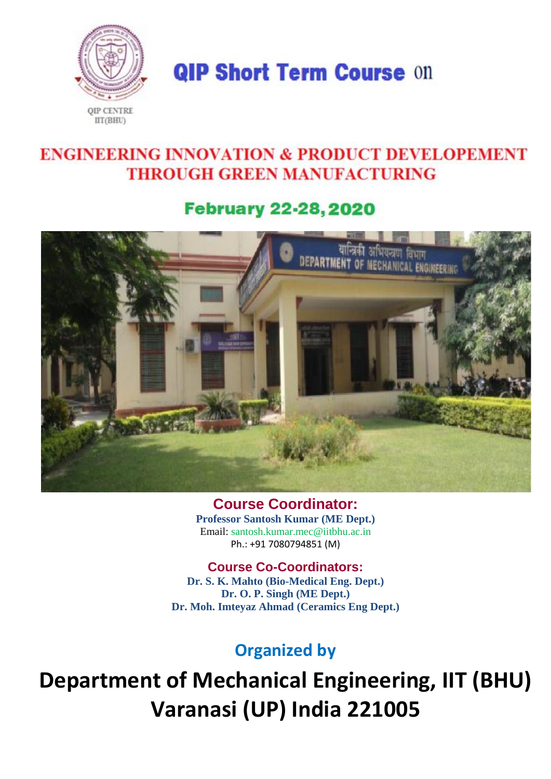

**QIP Short Term Course On** 

# **ENGINEERING INNOVATION & PRODUCT DEVELOPEMENT THROUGH GREEN MANUFACTURING**

# **February 22-28, 2020**



**Course Coordinator: Professor Santosh Kumar (ME Dept.)** Email: santosh.kumar.mec@iitbhu.ac.in Ph.: +91 7080794851 (M)

### **Course Co-Coordinators:**

**Dr. S. K. Mahto (Bio-Medical Eng. Dept.) Dr. O. P. Singh (ME Dept.) Dr. Moh. Imteyaz Ahmad (Ceramics Eng Dept.)**

### **Organized by**

**Department of Mechanical Engineering, IIT (BHU) Varanasi (UP) India 221005**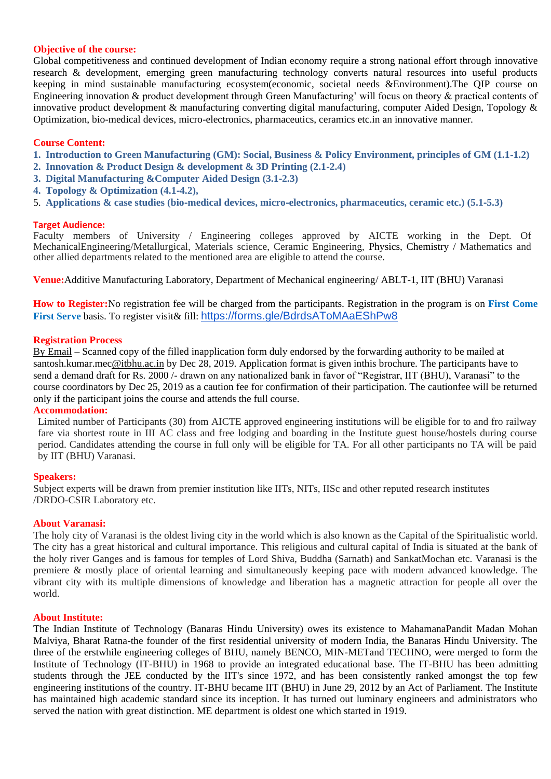#### **Objective of the course:**

Global competitiveness and continued development of Indian economy require a strong national effort through innovative research & development, emerging green manufacturing technology converts natural resources into useful products keeping in mind sustainable manufacturing ecosystem(economic, societal needs &Environment).The QIP course on Engineering innovation & product development through Green Manufacturing' will focus on theory & practical contents of innovative product development & manufacturing converting digital manufacturing, computer Aided Design, Topology & Optimization, bio-medical devices, micro-electronics, pharmaceutics, ceramics etc.in an innovative manner.

#### **Course Content:**

- **1. Introduction to Green Manufacturing (GM): Social, Business & Policy Environment, principles of GM (1.1**‐**1.2)**
- **2. Innovation & Product Design & development & 3D Printing (2.1**‐**2.4)**
- **3. Digital Manufacturing &Computer Aided Design (3.1**‐**2.3)**
- **4. Topology & Optimization (4.1**‐**4.2),**
- 5. **Applications & case studies (bio**‐**medical devices, micro**‐**electronics, pharmaceutics, ceramic etc.) (5.1**‐**5.3)**

#### **Target Audience:**

Faculty members of University / Engineering colleges approved by AICTE working in the Dept. Of MechanicalEngineering/Metallurgical, Materials science, Ceramic Engineering, Physics, Chemistry / Mathematics and other allied departments related to the mentioned area are eligible to attend the course.

**Venue:**Additive Manufacturing Laboratory, Department of Mechanical engineering/ ABLT-1, IIT (BHU) Varanasi

**How to Register:**No registration fee will be charged from the participants. Registration in the program is on **First Come First Serve** basis. To register visit& fill: <https://forms.gle/BdrdsAToMAaEShPw8>

#### **Registration Process**

By Email – Scanned copy of the filled inapplication form duly endorsed by the forwarding authority to be mailed at santosh.kumar.mec@itbhu.ac.in by Dec 28, 2019. Application format is given inthis brochure. The participants have to send a demand draft for Rs. 2000 /- drawn on any nationalized bank in favor of "Registrar, IIT (BHU), Varanasi" to the course coordinators by Dec 25, 2019 as a caution fee for confirmation of their participation. The cautionfee will be returned only if the participant joins the course and attends the full course.

#### **Accommodation:**

Limited number of Participants (30) from AICTE approved engineering institutions will be eligible for to and fro railway fare via shortest route in III AC class and free lodging and boarding in the Institute guest house/hostels during course period. Candidates attending the course in full only will be eligible for TA. For all other participants no TA will be paid by IIT (BHU) Varanasi.

#### **Speakers:**

Subject experts will be drawn from premier institution like IITs, NITs, IISc and other reputed research institutes /DRDO-CSIR Laboratory etc.

#### **About Varanasi:**

The holy city of Varanasi is the oldest living city in the world which is also known as the Capital of the Spiritualistic world. The city has a great historical and cultural importance. This religious and cultural capital of India is situated at the bank of the holy river Ganges and is famous for temples of Lord Shiva, Buddha (Sarnath) and SankatMochan etc. Varanasi is the premiere & mostly place of oriental learning and simultaneously keeping pace with modern advanced knowledge. The vibrant city with its multiple dimensions of knowledge and liberation has a magnetic attraction for people all over the world.

#### **About Institute:**

The Indian Institute of Technology (Banaras Hindu University) owes its existence to MahamanaPandit Madan Mohan Malviya, Bharat Ratna-the founder of the first residential university of modern India, the Banaras Hindu University. The three of the erstwhile engineering colleges of BHU, namely BENCO, MIN-METand TECHNO, were merged to form the Institute of Technology (IT-BHU) in 1968 to provide an integrated educational base. The IT-BHU has been admitting students through the JEE conducted by the IIT's since 1972, and has been consistently ranked amongst the top few engineering institutions of the country. IT-BHU became IIT (BHU) in June 29, 2012 by an Act of Parliament. The Institute has maintained high academic standard since its inception. It has turned out luminary engineers and administrators who served the nation with great distinction. ME department is oldest one which started in 1919.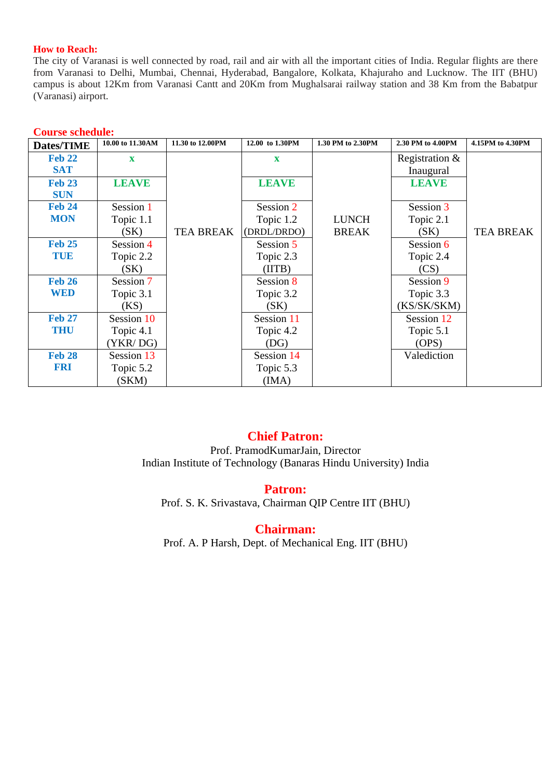#### **How to Reach:**

The city of Varanasi is well connected by road, rail and air with all the important cities of India. Regular flights are there from Varanasi to Delhi, Mumbai, Chennai, Hyderabad, Bangalore, Kolkata, Khajuraho and Lucknow. The IIT (BHU) campus is about 12Km from Varanasi Cantt and 20Km from Mughalsarai railway station and 38 Km from the Babatpur (Varanasi) airport.

| <b>Dates/TIME</b> | 10.00 to 11.30AM | 11.30 to 12.00PM | 12.00 to 1.30PM | 1.30 PM to 2.30PM | 2.30 PM to 4.00PM | 4.15PM to 4.30PM |
|-------------------|------------------|------------------|-----------------|-------------------|-------------------|------------------|
| <b>Feb 22</b>     | $\mathbf X$      |                  | $\mathbf x$     |                   | Registration $&$  |                  |
| <b>SAT</b>        |                  |                  |                 |                   | Inaugural         |                  |
| <b>Feb 23</b>     | <b>LEAVE</b>     |                  | <b>LEAVE</b>    |                   | <b>LEAVE</b>      |                  |
| <b>SUN</b>        |                  |                  |                 |                   |                   |                  |
| <b>Feb 24</b>     | Session 1        |                  | Session 2       |                   | Session 3         |                  |
| <b>MON</b>        | Topic 1.1        |                  | Topic 1.2       | <b>LUNCH</b>      | Topic 2.1         |                  |
|                   | (SK)             | <b>TEA BREAK</b> | (DRDL/DRDO)     | <b>BREAK</b>      | (SK)              | <b>TEA BREAK</b> |
| <b>Feb 25</b>     | Session 4        |                  | Session 5       |                   | Session 6         |                  |
| TUE               | Topic 2.2        |                  | Topic 2.3       |                   | Topic 2.4         |                  |
|                   | (SK)             |                  | (HTB)           |                   | (CS)              |                  |
| <b>Feb 26</b>     | Session 7        |                  | Session 8       |                   | Session 9         |                  |
| <b>WED</b>        | Topic 3.1        |                  | Topic 3.2       |                   | Topic 3.3         |                  |
|                   | (KS)             |                  | (SK)            |                   | (KS/SK/SKM)       |                  |
| <b>Feb 27</b>     | Session 10       |                  | Session 11      |                   | Session 12        |                  |
| <b>THU</b>        | Topic 4.1        |                  | Topic 4.2       |                   | Topic 5.1         |                  |
|                   | (YKR/DG)         |                  | (DG)            |                   | (OPS)             |                  |
| <b>Feb 28</b>     | Session 13       |                  | Session 14      |                   | Valediction       |                  |
| <b>FRI</b>        | Topic 5.2        |                  | Topic 5.3       |                   |                   |                  |
|                   | (SKM)            |                  | (IMA)           |                   |                   |                  |

#### **Course schedule:**

### **Chief Patron:**

Prof. PramodKumarJain, Director Indian Institute of Technology (Banaras Hindu University) India

**Patron:**

Prof. S. K. Srivastava, Chairman QIP Centre IIT (BHU)

**Chairman:**

Prof. A. P Harsh, Dept. of Mechanical Eng. IIT (BHU)